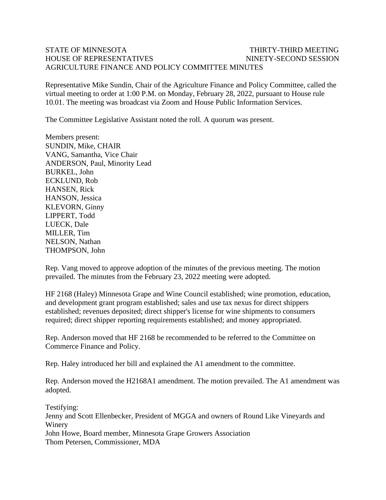## STATE OF MINNESOTA THIRTY-THIRD MEETING HOUSE OF REPRESENTATIVES NINETY-SECOND SESSION AGRICULTURE FINANCE AND POLICY COMMITTEE MINUTES

Representative Mike Sundin, Chair of the Agriculture Finance and Policy Committee, called the virtual meeting to order at 1:00 P.M. on Monday, February 28, 2022, pursuant to House rule 10.01. The meeting was broadcast via Zoom and House Public Information Services.

The Committee Legislative Assistant noted the roll. A quorum was present.

Members present: SUNDIN, Mike, CHAIR VANG, Samantha, Vice Chair ANDERSON, Paul, Minority Lead BURKEL, John ECKLUND, Rob HANSEN, Rick HANSON, Jessica KLEVORN, Ginny LIPPERT, Todd LUECK, Dale MILLER, Tim NELSON, Nathan THOMPSON, John

Rep. Vang moved to approve adoption of the minutes of the previous meeting. The motion prevailed. The minutes from the February 23, 2022 meeting were adopted.

HF 2168 (Haley) Minnesota Grape and Wine Council established; wine promotion, education, and development grant program established; sales and use tax nexus for direct shippers established; revenues deposited; direct shipper's license for wine shipments to consumers required; direct shipper reporting requirements established; and money appropriated.

Rep. Anderson moved that HF 2168 be recommended to be referred to the Committee on Commerce Finance and Policy.

Rep. Haley introduced her bill and explained the A1 amendment to the committee.

Rep. Anderson moved the H2168A1 amendment. The motion prevailed. The A1 amendment was adopted.

Testifying: Jenny and Scott Ellenbecker, President of MGGA and owners of Round Like Vineyards and Winery John Howe, Board member, Minnesota Grape Growers Association Thom Petersen, Commissioner, MDA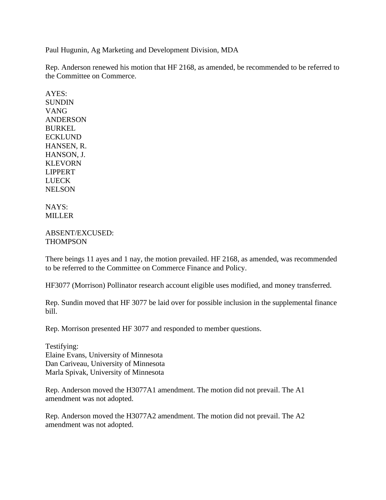Paul Hugunin, Ag Marketing and Development Division, MDA

Rep. Anderson renewed his motion that HF 2168, as amended, be recommended to be referred to the Committee on Commerce.

AYES: SUNDIN VANG ANDERSON BURKEL ECKLUND HANSEN, R. HANSON, J. KLEVORN LIPPERT LUECK **NELSON** 

## NAYS: MILLER

## ABSENT/EXCUSED: THOMPSON

There beings 11 ayes and 1 nay, the motion prevailed. HF 2168, as amended, was recommended to be referred to the Committee on Commerce Finance and Policy.

HF3077 (Morrison) Pollinator research account eligible uses modified, and money transferred.

Rep. Sundin moved that HF 3077 be laid over for possible inclusion in the supplemental finance bill.

Rep. Morrison presented HF 3077 and responded to member questions.

Testifying: Elaine Evans, University of Minnesota Dan Cariveau, University of Minnesota Marla Spivak, University of Minnesota

Rep. Anderson moved the H3077A1 amendment. The motion did not prevail. The A1 amendment was not adopted.

Rep. Anderson moved the H3077A2 amendment. The motion did not prevail. The A2 amendment was not adopted.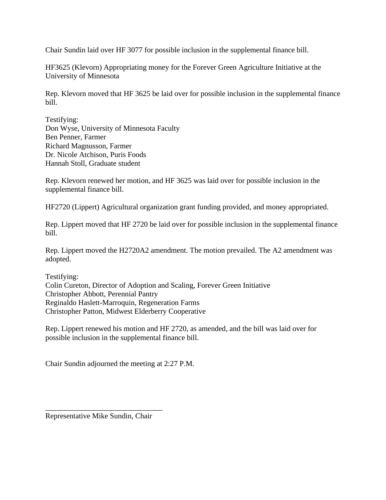Chair Sundin laid over HF 3077 for possible inclusion in the supplemental finance bill.

HF3625 (Klevorn) Appropriating money for the Forever Green Agriculture Initiative at the University of Minnesota

Rep. Klevorn moved that HF 3625 be laid over for possible inclusion in the supplemental finance bill.

Testifying: Don Wyse, University of Minnesota Faculty Ben Penner, Farmer Richard Magnusson, Farmer Dr. Nicole Atchison, Puris Foods Hannah Stoll, Graduate student

Rep. Klevorn renewed her motion, and HF 3625 was laid over for possible inclusion in the supplemental finance bill.

HF2720 (Lippert) Agricultural organization grant funding provided, and money appropriated.

Rep. Lippert moved that HF 2720 be laid over for possible inclusion in the supplemental finance bill.

Rep. Lippert moved the H2720A2 amendment. The motion prevailed. The A2 amendment was adopted.

Testifying: Colin Cureton, Director of Adoption and Scaling, Forever Green Initiative Christopher Abbott, Perennial Pantry Reginaldo Haslett-Marroquin, Regeneration Farms Christopher Patton, Midwest Elderberry Cooperative

Rep. Lippert renewed his motion and HF 2720, as amended, and the bill was laid over for possible inclusion in the supplemental finance bill.

Chair Sundin adjourned the meeting at 2:27 P.M.

Representative Mike Sundin, Chair

\_\_\_\_\_\_\_\_\_\_\_\_\_\_\_\_\_\_\_\_\_\_\_\_\_\_\_\_\_\_\_